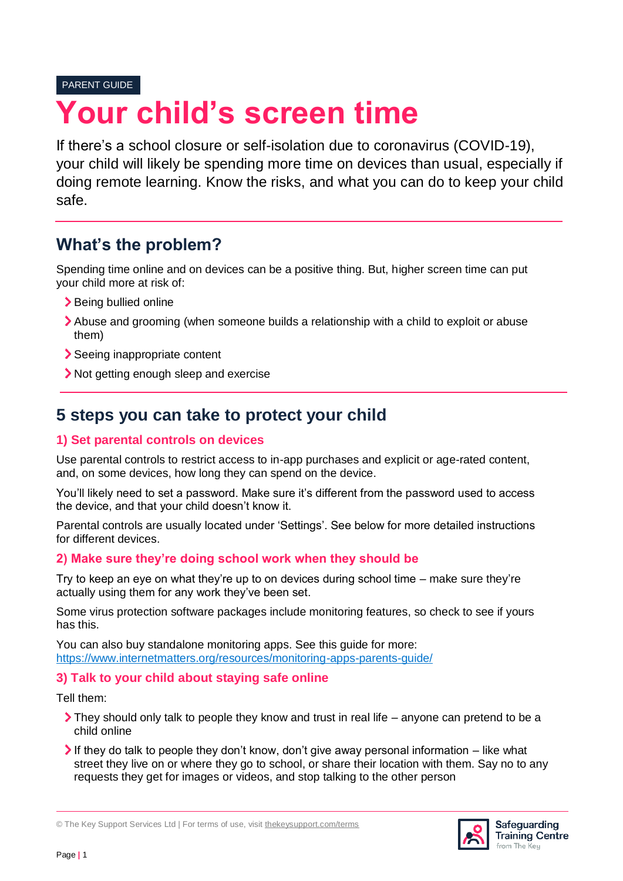#### PARENT GUIDE

# **Your child's screen time**

If there's a school closure or self-isolation due to coronavirus (COVID-19), your child will likely be spending more time on devices than usual, especially if doing remote learning. Know the risks, and what you can do to keep your child safe.

## **What's the problem?**

Spending time online and on devices can be a positive thing. But, higher screen time can put your child more at risk of:

- > Being bullied online
- Abuse and grooming (when someone builds a relationship with a child to exploit or abuse them)
- Seeing inappropriate content
- Not getting enough sleep and exercise

# **5 steps you can take to protect your child**

#### **1) Set parental controls on devices**

Use parental controls to restrict access to in-app purchases and explicit or age-rated content, and, on some devices, how long they can spend on the device.

You'll likely need to set a password. Make sure it's different from the password used to access the device, and that your child doesn't know it.

Parental controls are usually located under 'Settings'. See below for more detailed instructions for different devices.

#### **2) Make sure they're doing school work when they should be**

Try to keep an eye on what they're up to on devices during school time – make sure they're actually using them for any work they've been set.

Some virus protection software packages include monitoring features, so check to see if yours has this.

You can also buy standalone monitoring apps. See this guide for more: <https://www.internetmatters.org/resources/monitoring-apps-parents-guide/>

#### **3) Talk to your child about staying safe online**

Tell them:

- They should only talk to people they know and trust in real life anyone can pretend to be a child online
- If they do talk to people they don't know, don't give away personal information  $-$  like what street they live on or where they go to school, or share their location with them. Say no to any requests they get for images or videos, and stop talking to the other person



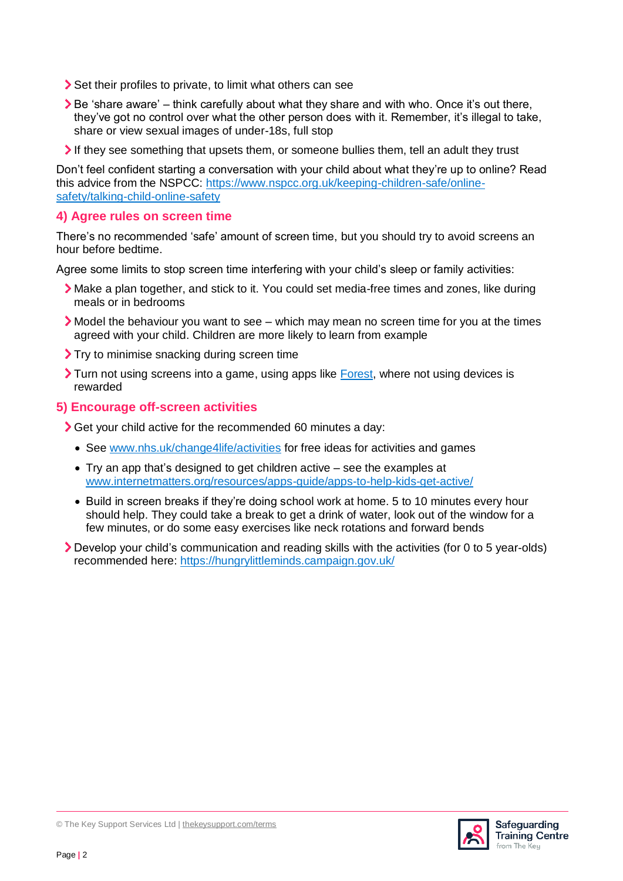- Set their profiles to private, to limit what others can see
- Be 'share aware' think carefully about what they share and with who. Once it's out there, they've got no control over what the other person does with it. Remember, it's illegal to take, share or view sexual images of under-18s, full stop
- If they see something that upsets them, or someone bullies them, tell an adult they trust

Don't feel confident starting a conversation with your child about what they're up to online? Read this advice from the NSPCC: [https://www.nspcc.org.uk/keeping-children-safe/online](https://www.nspcc.org.uk/keeping-children-safe/online-safety/talking-child-online-safety)[safety/talking-child-online-safety](https://www.nspcc.org.uk/keeping-children-safe/online-safety/talking-child-online-safety)

#### **4) Agree rules on screen time**

There's no recommended 'safe' amount of screen time, but you should try to avoid screens an hour before bedtime.

Agree some limits to stop screen time interfering with your child's sleep or family activities:

- Make a plan together, and stick to it. You could set media-free times and zones, like during meals or in bedrooms
- Model the behaviour you want to see which may mean no screen time for you at the times agreed with your child. Children are more likely to learn from example
- Try to minimise snacking during screen time
- Turn not using screens into a game, using apps like [Forest,](https://www.internetmatters.org/hub/expert-opinion/need-help-managing-kids-screen-time-the-forest-app-can-help/) where not using devices is rewarded

#### **5) Encourage off-screen activities**

Get your child active for the recommended 60 minutes a day:

- See [www.nhs.uk/change4life/activities](http://www.nhs.uk/change4life/activities) for free ideas for activities and games
- Try an app that's designed to get children active see the examples at [www.internetmatters.org/resources/apps-guide/apps-to-help-kids-get-active/](http://www.internetmatters.org/resources/apps-guide/apps-to-help-kids-get-active/)
- Build in screen breaks if they're doing school work at home. 5 to 10 minutes every hour should help. They could take a break to get a drink of water, look out of the window for a few minutes, or do some easy exercises like neck rotations and forward bends
- Develop your child's communication and reading skills with the activities (for 0 to 5 year-olds) recommended here:<https://hungrylittleminds.campaign.gov.uk/>

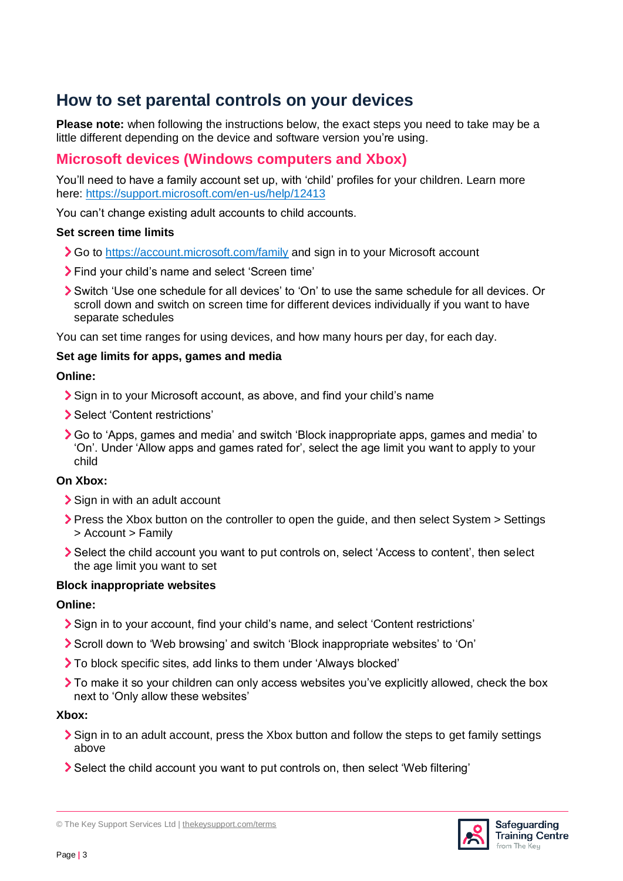## **How to set parental controls on your devices**

**Please note:** when following the instructions below, the exact steps you need to take may be a little different depending on the device and software version you're using.

### **Microsoft devices (Windows computers and Xbox)**

You'll need to have a family account set up, with 'child' profiles for your children. Learn more here:<https://support.microsoft.com/en-us/help/12413>

You can't change existing adult accounts to child accounts.

#### **Set screen time limits**

- So to<https://account.microsoft.com/family> and sign in to your Microsoft account
- Find your child's name and select 'Screen time'
- Switch 'Use one schedule for all devices' to 'On' to use the same schedule for all devices. Or scroll down and switch on screen time for different devices individually if you want to have separate schedules

You can set time ranges for using devices, and how many hours per day, for each day.

#### **Set age limits for apps, games and media**

#### **Online:**

- Sign in to your Microsoft account, as above, and find your child's name
- > Select 'Content restrictions'
- Go to 'Apps, games and media' and switch 'Block inappropriate apps, games and media' to 'On'. Under 'Allow apps and games rated for', select the age limit you want to apply to your child

#### **On Xbox:**

- Sign in with an adult account
- Press the Xbox button on the controller to open the guide, and then select System > Settings > Account > Family
- Select the child account you want to put controls on, select 'Access to content', then select the age limit you want to set

#### **Block inappropriate websites**

#### **Online:**

- Sign in to your account, find your child's name, and select 'Content restrictions'
- Scroll down to 'Web browsing' and switch 'Block inappropriate websites' to 'On'
- To block specific sites, add links to them under 'Always blocked'
- To make it so your children can only access websites you've explicitly allowed, check the box next to 'Only allow these websites'

#### **Xbox:**

- Sign in to an adult account, press the Xbox button and follow the steps to get family settings above
- Select the child account you want to put controls on, then select 'Web filtering'

© The Key Support Services Ltd | [thekeysupport.com/terms](https://thekeysupport.com/terms-of-use)

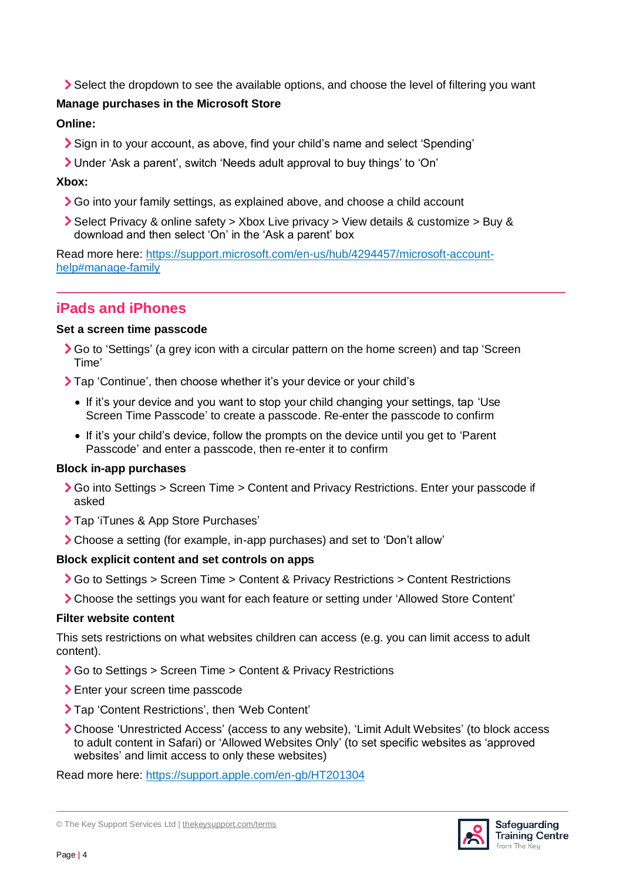Select the dropdown to see the available options, and choose the level of filtering you want

#### **Manage purchases in the Microsoft Store**

#### **Online:**

- Sign in to your account, as above, find your child's name and select 'Spending'
- Under 'Ask a parent', switch 'Needs adult approval to buy things' to 'On'

#### **Xbox:**

- Go into your family settings, as explained above, and choose a child account
- Select Privacy & online safety > Xbox Live privacy > View details & customize > Buy & download and then select 'On' in the 'Ask a parent' box

Read more here: [https://support.microsoft.com/en-us/hub/4294457/microsoft-account](https://support.microsoft.com/en-us/hub/4294457/microsoft-account-help#manage-family)[help#manage-family](https://support.microsoft.com/en-us/hub/4294457/microsoft-account-help#manage-family)

## **iPads and iPhones**

#### **Set a screen time passcode**

- Go to 'Settings' (a grey icon with a circular pattern on the home screen) and tap 'Screen Time'
- Tap 'Continue', then choose whether it's your device or your child's
	- If it's your device and you want to stop your child changing your settings, tap 'Use Screen Time Passcode' to create a passcode. Re-enter the passcode to confirm
	- If it's your child's device, follow the prompts on the device until you get to 'Parent Passcode' and enter a passcode, then re-enter it to confirm

#### **Block in-app purchases**

- Go into Settings > Screen Time > Content and Privacy Restrictions. Enter your passcode if asked
- > Tap 'iTunes & App Store Purchases'
- Choose a setting (for example, in-app purchases) and set to 'Don't allow'

#### **Block explicit content and set controls on apps**

- Go to Settings > Screen Time > Content & Privacy Restrictions > Content Restrictions
- Choose the settings you want for each feature or setting under 'Allowed Store Content'

#### **Filter website content**

This sets restrictions on what websites children can access (e.g. you can limit access to adult content).

- **>** Go to Settings > Screen Time > Content & Privacy Restrictions
- > Enter your screen time passcode
- Tap 'Content Restrictions', then 'Web Content'
- Choose 'Unrestricted Access' (access to any website), 'Limit Adult Websites' (to block access to adult content in Safari) or 'Allowed Websites Only' (to set specific websites as 'approved websites' and limit access to only these websites)

Read more here:<https://support.apple.com/en-gb/HT201304>



<sup>©</sup> The Key Support Services Ltd | [thekeysupport.com/terms](https://thekeysupport.com/terms-of-use)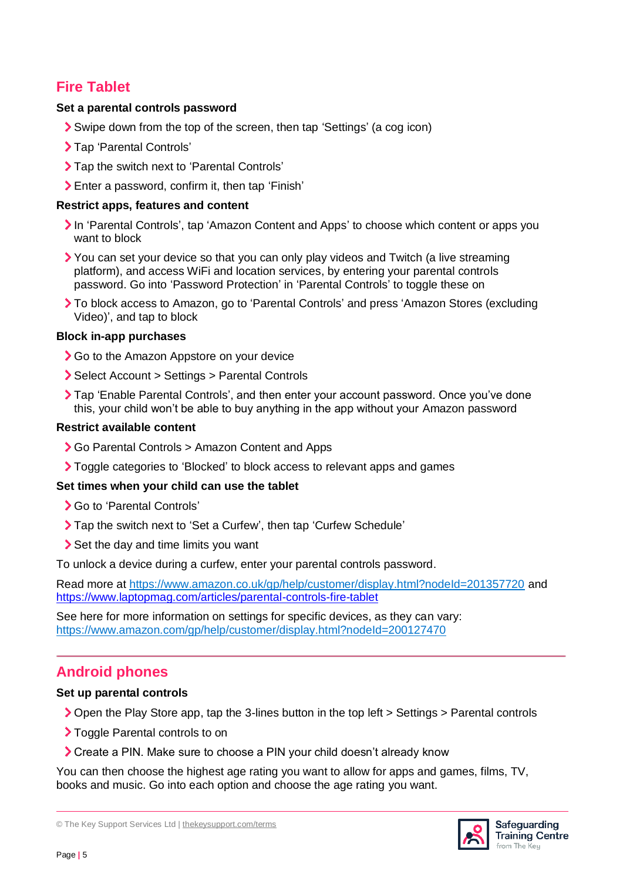## **Fire Tablet**

#### **Set a parental controls password**

- Swipe down from the top of the screen, then tap 'Settings' (a cog icon)
- > Tap 'Parental Controls'
- > Tap the switch next to 'Parental Controls'
- Enter a password, confirm it, then tap 'Finish'

#### **Restrict apps, features and content**

- In 'Parental Controls', tap 'Amazon Content and Apps' to choose which content or apps you want to block
- You can set your device so that you can only play videos and Twitch (a live streaming platform), and access WiFi and location services, by entering your parental controls password. Go into 'Password Protection' in 'Parental Controls' to toggle these on
- To block access to Amazon, go to 'Parental Controls' and press 'Amazon Stores (excluding Video)', and tap to block

#### **Block in-app purchases**

- Go to the Amazon Appstore on your device
- Select Account > Settings > Parental Controls
- Tap 'Enable Parental Controls', and then enter your account password. Once you've done this, your child won't be able to buy anything in the app without your Amazon password

#### **Restrict available content**

- Go Parental Controls > Amazon Content and Apps
- Toggle categories to 'Blocked' to block access to relevant apps and games

#### **Set times when your child can use the tablet**

- Go to 'Parental Controls'
- Tap the switch next to 'Set a Curfew', then tap 'Curfew Schedule'
- Set the day and time limits you want

To unlock a device during a curfew, enter your parental controls password.

Read more at <https://www.amazon.co.uk/gp/help/customer/display.html?nodeId=201357720> and <https://www.laptopmag.com/articles/parental-controls-fire-tablet>

See here for more information on settings for specific devices, as they can vary: <https://www.amazon.com/gp/help/customer/display.html?nodeId=200127470>

## **Android phones**

#### **Set up parental controls**

- Open the Play Store app, tap the 3-lines button in the top left > Settings > Parental controls
- > Toggle Parental controls to on
- Create a PIN. Make sure to choose a PIN your child doesn't already know

You can then choose the highest age rating you want to allow for apps and games, films, TV, books and music. Go into each option and choose the age rating you want.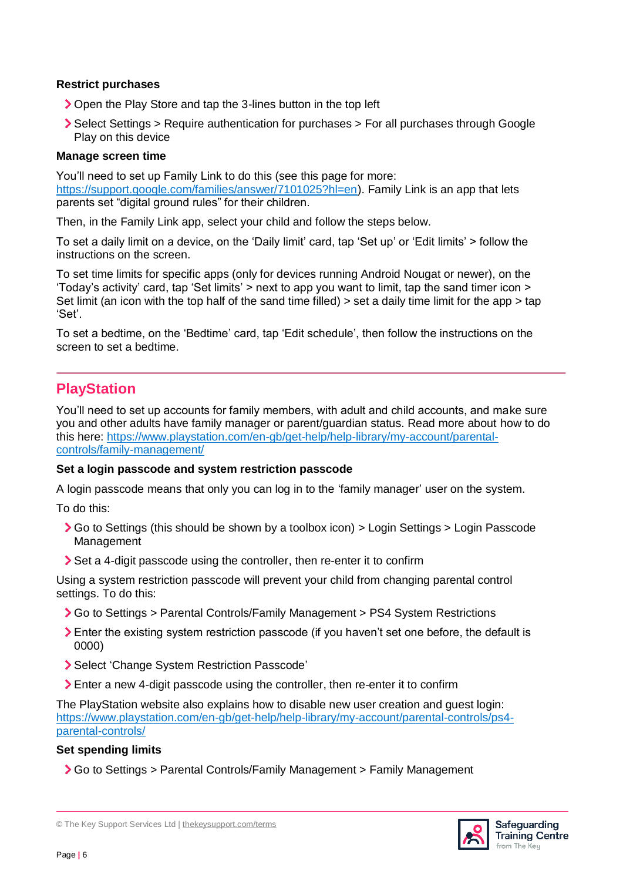#### **Restrict purchases**

- ▶ Open the Play Store and tap the 3-lines button in the top left
- Select Settings > Require authentication for purchases > For all purchases through Google Play on this device

#### **Manage screen time**

You'll need to set up Family Link to do this (see this page for more: [https://support.google.com/families/answer/7101025?hl=en\)](https://support.google.com/families/answer/7101025?hl=en). Family Link is an app that lets parents set "digital ground rules" for their children.

Then, in the Family Link app, select your child and follow the steps below.

To set a daily limit on a device, on the 'Daily limit' card, tap 'Set up' or 'Edit limits' > follow the instructions on the screen.

To set time limits for specific apps (only for devices running Android Nougat or newer), on the 'Today's activity' card, tap 'Set limits' > next to app you want to limit, tap the sand timer icon > Set limit (an icon with the top half of the sand time filled) > set a daily time limit for the app > tap 'Set'.

To set a bedtime, on the 'Bedtime' card, tap 'Edit schedule', then follow the instructions on the screen to set a bedtime.

## **PlayStation**

You'll need to set up accounts for family members, with adult and child accounts, and make sure you and other adults have family manager or parent/guardian status. Read more about how to do this here: [https://www.playstation.com/en-gb/get-help/help-library/my-account/parental](https://www.playstation.com/en-gb/get-help/help-library/my-account/parental-controls/family-management/)[controls/family-management/](https://www.playstation.com/en-gb/get-help/help-library/my-account/parental-controls/family-management/)

#### **Set a login passcode and system restriction passcode**

A login passcode means that only you can log in to the 'family manager' user on the system.

To do this:

- Go to Settings (this should be shown by a toolbox icon) > Login Settings > Login Passcode Management
- Set a 4-digit passcode using the controller, then re-enter it to confirm

Using a system restriction passcode will prevent your child from changing parental control settings. To do this:

- Go to Settings > Parental Controls/Family Management > PS4 System Restrictions
- Enter the existing system restriction passcode (if you haven't set one before, the default is 0000)
- Select 'Change System Restriction Passcode'
- Enter a new 4-digit passcode using the controller, then re-enter it to confirm

The PlayStation website also explains how to disable new user creation and guest login: [https://www.playstation.com/en-gb/get-help/help-library/my-account/parental-controls/ps4](https://www.playstation.com/en-gb/get-help/help-library/my-account/parental-controls/ps4-parental-controls/) [parental-controls/](https://www.playstation.com/en-gb/get-help/help-library/my-account/parental-controls/ps4-parental-controls/)

#### **Set spending limits**

Go to Settings > Parental Controls/Family Management > Family Management



<sup>©</sup> The Key Support Services Ltd | [thekeysupport.com/terms](https://thekeysupport.com/terms-of-use)